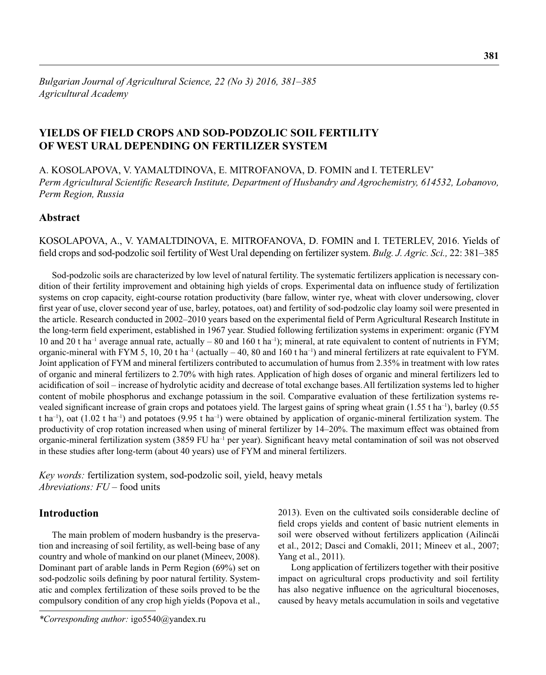# **YIELDS OF FIELD CROPS AND SOD-PODZOLIC SOIL FERTILITY OF WEST URAL DEPENDING ON FERTILIZER SYSTEM**

A. KOSOLAPOVA, V. YAMALTDINOVA, E. MITROFANOVA, D. FOMIN and I. TETERLEV\* *Perm Agricultural Scientific Research Institute, Department of Husbandry and Agrochemistry, 614532, Lobanovo, Perm Region, Russia*

# **Abstract**

KOSOLAPOVA, A., V. YAMALTDINOVA, E. MITROFANOVA, D. FOMIN and I. TETERLEV, 2016. Yields of fi eld crops and sod-podzolic soil fertility of West Ural depending on fertilizer system. *Bulg. J. Agric. Sci.,* 22: 381–385

Sod-podzolic soils are characterized by low level of natural fertility. The systematic fertilizers application is necessary condition of their fertility improvement and obtaining high yields of crops. Experimental data on influence study of fertilization systems on crop capacity, eight-course rotation productivity (bare fallow, winter rye, wheat with clover undersowing, clover first year of use, clover second year of use, barley, potatoes, oat) and fertility of sod-podzolic clay loamy soil were presented in the article. Research conducted in 2002–2010 years based on the experimental field of Perm Agricultural Research Institute in the long-term field experiment, established in 1967 year. Studied following fertilization systems in experiment: organic (FYM) 10 and 20 t ha<sup>-1</sup> average annual rate, actually – 80 and 160 t ha<sup>-1</sup>); mineral, at rate equivalent to content of nutrients in FYM; organic-mineral with FYM 5, 10, 20 t ha<sup>-1</sup> (actually  $-40$ , 80 and 160 t ha<sup>-1</sup>) and mineral fertilizers at rate equivalent to FYM. Joint application of FYM and mineral fertilizers contributed to accumulation of humus from 2.35% in treatment with low rates of organic and mineral fertilizers to 2.70% with high rates. Application of high doses of organic and mineral fertilizers led to acidification of soil – increase of hydrolytic acidity and decrease of total exchange bases. All fertilization systems led to higher content of mobile phosphorus and exchange potassium in the soil. Comparative evaluation of these fertilization systems revealed significant increase of grain crops and potatoes yield. The largest gains of spring wheat grain (1.55 t ha<sup>-1</sup>), barley (0.55) t ha<sup>-1</sup>), oat (1.02 t ha<sup>-1</sup>) and potatoes (9.95 t ha<sup>-1</sup>) were obtained by application of organic-mineral fertilization system. The productivity of crop rotation increased when using of mineral fertilizer by 14–20%. The maximum effect was obtained from organic-mineral fertilization system (3859 FU ha<sup>-1</sup> per year). Significant heavy metal contamination of soil was not observed in these studies after long-term (about 40 years) use of FYM and mineral fertilizers.

*Key words:* fertilization system, sod-podzolic soil, yield, heavy metals *Abreviations: FU* – food units

### **Introduction**

The main problem of modern husbandry is the preservation and increasing of soil fertility, as well-being base of any country and whole of mankind on our planet (Mineev, 2008). Dominant part of arable lands in Perm Region (69%) set on sod-podzolic soils defining by poor natural fertility. Systematic and complex fertilization of these soils proved to be the compulsory condition of any crop high yields (Popova et al.,

*\*Corresponding author:* igo5540@yandex.ru

2013). Even on the cultivated soils considerable decline of field crops yields and content of basic nutrient elements in soil were observed without fertilizers application (Ailincăi et al., 2012; Dasci and Comakli, 2011; Mineev et al., 2007; Yang et al., 2011).

Long application of fertilizers together with their positive impact on agricultural crops productivity and soil fertility has also negative influence on the agricultural biocenoses, caused by heavy metals accumulation in soils and vegetative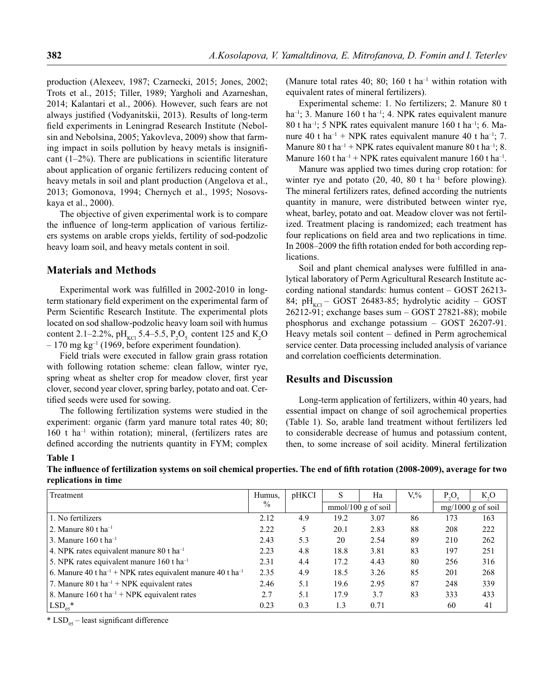production (Alexeev, 1987; Czarnecki, 2015; Jones, 2002; Trots et al., 2015; Tiller, 1989; Yargholi and Azarneshan, 2014; Kalantari et al., 2006). However, such fears are not always justified (Vodyanitskii, 2013). Results of long-term field experiments in Leningrad Research Institute (Nebolsin and Nebolsina, 2005; Yakovleva, 2009) show that farming impact in soils pollution by heavy metals is insignificant  $(1-2\%)$ . There are publications in scientific literature about application of organic fertilizers reducing content of heavy metals in soil and plant production (Angelova et al., 2013; Gomonova, 1994; Chernych et al., 1995; Nosovskaya et al., 2000).

The objective of given experimental work is to compare the influence of long-term application of various fertilizers systems on arable crops yields, fertility of sod-podzolic heavy loam soil, and heavy metals content in soil.

#### **Materials and Methods**

Experimental work was fulfilled in 2002-2010 in longterm stationary field experiment on the experimental farm of Perm Scientific Research Institute. The experimental plots located on sod shallow-podzolic heavy loam soil with humus content 2.1–2.2%,  $pH_{\text{KCl}}$  5.4–5.5,  $P_2O_5$  content 125 and  $K_2O$  $-170$  mg kg<sup>-1</sup> (1969, before experiment foundation).

Field trials were executed in fallow grain grass rotation with following rotation scheme: clean fallow, winter rye, spring wheat as shelter crop for meadow clover, first year clover, second year clover, spring barley, potato and oat. Certified seeds were used for sowing.

The following fertilization systems were studied in the experiment: organic (farm yard manure total rates 40; 80; 160 t ha–1 within rotation); mineral, (fertilizers rates are defined according the nutrients quantity in FYM; complex (Manure total rates 40; 80; 160 t ha<sup>-1</sup> within rotation with equivalent rates of mineral fertilizers).

Experimental scheme: 1. No fertilizers; 2. Manure 80 t ha<sup>-1</sup>; 3. Manure 160 t ha<sup>-1</sup>; 4. NPK rates equivalent manure 80 t ha–1; 5 NPK rates equivalent manure 160 t ha–1; 6. Manure 40 t ha<sup>-1</sup> + NPK rates equivalent manure 40 t ha<sup>-1</sup>; 7. Manure 80 t ha<sup>-1</sup> + NPK rates equivalent manure 80 t ha<sup>-1</sup>; 8. Manure 160 t ha<sup>-1</sup> + NPK rates equivalent manure 160 t ha<sup>-1</sup>.

Manure was applied two times during crop rotation: for winter rye and potato  $(20, 40, 80$  t ha<sup>-1</sup> before plowing). The mineral fertilizers rates, defined according the nutrients quantity in manure, were distributed between winter rye, wheat, barley, potato and oat. Meadow clover was not fertilized. Treatment placing is randomized; each treatment has four replications on field area and two replications in time. In 2008–2009 the fifth rotation ended for both according replications.

Soil and plant chemical analyses were fulfilled in analytical laboratory of Perm Agricultural Research Institute according national standards: humus content – GOST 26213- 84;  $pH_{\text{KCl}}$  – GOST 26483-85; hydrolytic acidity – GOST 26212-91; exchange bases sum – GOST 27821-88); mobile phosphorus and exchange potassium – GOST 26207-91. Heavy metals soil content  $-$  defined in Perm agrochemical service center. Data processing included analysis of variance and correlation coefficients determination.

## **Results and Discussion**

Long-term application of fertilizers, within 40 years, had essential impact on change of soil agrochemical properties (Table 1). So, arable land treatment without fertilizers led to considerable decrease of humus and potassium content, then, to some increase of soil acidity. Mineral fertilization

#### **Table 1**

The influence of fertilization systems on soil chemical properties. The end of fifth rotation (2008-2009), average for two **replications in time**

| Treatment                                                                           | Humus. | pHKCI | S                    | Ha   | $V_{\cdot}$ % | $P_2O_3$            | K, O |
|-------------------------------------------------------------------------------------|--------|-------|----------------------|------|---------------|---------------------|------|
|                                                                                     | $\%$   |       | $mmol/100$ g of soil |      |               | $mg/1000 g$ of soil |      |
| 1. No fertilizers                                                                   | 2.12   | 4.9   | 19.2                 | 3.07 | 86            | 173                 | 163  |
| ∣ 2. Manure 80 t ha <sup>-1</sup>                                                   | 2.22   | 5.    | 20.1                 | 2.83 | 88            | 208                 | 222  |
| 3. Manure 160 t ha <sup>-1</sup>                                                    | 2.43   | 5.3   | 20                   | 2.54 | 89            | 210                 | 262  |
| 4. NPK rates equivalent manure 80 t ha <sup>-1</sup>                                | 2.23   | 4.8   | 18.8                 | 3.81 | 83            | 197                 | 251  |
| 5. NPK rates equivalent manure $160$ t ha <sup>-1</sup>                             | 2.31   | 4.4   | 17.2                 | 4.43 | 80            | 256                 | 316  |
| 6. Manure 40 t ha <sup>-1</sup> + NPK rates equivalent manure 40 t ha <sup>-1</sup> | 2.35   | 4.9   | 18.5                 | 3.26 | 85            | 201                 | 268  |
| 7. Manure 80 t ha <sup>-1</sup> + NPK equivalent rates                              | 2.46   | 5.1   | 19.6                 | 2.95 | 87            | 248                 | 339  |
| 8. Manure 160 t ha <sup>-1</sup> + NPK equivalent rates                             | 2.7    | 5.1   | 17.9                 | 3.7  | 83            | 333                 | 433  |
| $LSD_{05}$ *                                                                        | 0.23   | 0.3   | 1.3                  | 0.71 |               | 60                  | 41   |

 $*$  LSD<sub>05</sub> – least significant difference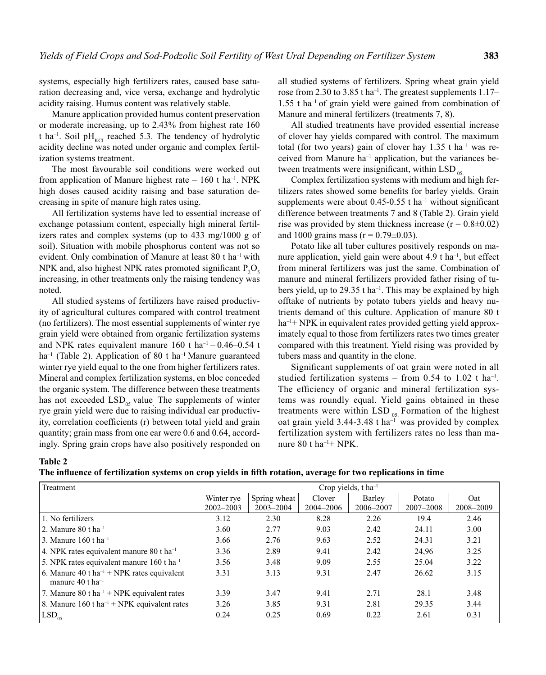systems, especially high fertilizers rates, caused base saturation decreasing and, vice versa, exchange and hydrolytic acidity raising. Humus content was relatively stable.

Manure application provided humus content preservation or moderate increasing, up to 2.43% from highest rate 160 t ha<sup>-1</sup>. Soil pH<sub>KCI</sub> reached 5.3. The tendency of hydrolytic acidity decline was noted under organic and complex fertilization systems treatment.

The most favourable soil conditions were worked out from application of Manure highest rate  $-160$  t ha<sup>-1</sup>. NPK high doses caused acidity raising and base saturation decreasing in spite of manure high rates using.

All fertilization systems have led to essential increase of exchange potassium content, especially high mineral fertilizers rates and complex systems (up to 433 mg/1000 g of soil). Situation with mobile phosphorus content was not so evident. Only combination of Manure at least 80 t ha–1 with NPK and, also highest NPK rates promoted significant  $P_2O_5$ increasing, in other treatments only the raising tendency was noted.

All studied systems of fertilizers have raised productivity of agricultural cultures compared with control treatment (no fertilizers). The most essential supplements of winter rye grain yield were obtained from organic fertilization systems and NPK rates equivalent manure 160 t ha<sup>-1</sup> – 0.46–0.54 t ha<sup>-1</sup> (Table 2). Application of 80 t ha<sup>-1</sup> Manure guaranteed winter rye yield equal to the one from higher fertilizers rates. Mineral and complex fertilization systems, en bloc conceded the organic system. The difference between these treatments has not exceeded  $LSD_{05}$  value. The supplements of winter rye grain yield were due to raising individual ear productivity, correlation coefficients (r) between total yield and grain quantity; grain mass from one ear were 0.6 and 0.64, accordingly. Spring grain crops have also positively responded on

all studied systems of fertilizers. Spring wheat grain yield rose from 2.30 to 3.85 t ha<sup>-1</sup>. The greatest supplements 1.17– 1.55 t ha–1 of grain yield were gained from combination of Manure and mineral fertilizers (treatments 7, 8).

All studied treatments have provided essential increase of clover hay yields compared with control. The maximum total (for two years) gain of clover hay  $1.35$  t ha<sup>-1</sup> was received from Manure ha–1 application, but the variances between treatments were insignificant, within  $LSD$ <sub>05</sub>.

Complex fertilization systems with medium and high fertilizers rates showed some benefits for barley yields. Grain supplements were about  $0.45-0.55$  t ha<sup>-1</sup> without significant difference between treatments 7 and 8 (Table 2). Grain yield rise was provided by stem thickness increase ( $r = 0.8 \pm 0.02$ ) and 1000 grains mass ( $r = 0.79 \pm 0.03$ ).

Potato like all tuber cultures positively responds on manure application, yield gain were about  $4.9$  t ha<sup>-1</sup>, but effect from mineral fertilizers was just the same. Combination of manure and mineral fertilizers provided father rising of tubers yield, up to 29.35 t ha<sup>-1</sup>. This may be explained by high offtake of nutrients by potato tubers yields and heavy nutrients demand of this culture. Application of manure 80 t  $ha^{-1}$  NPK in equivalent rates provided getting yield approximately equal to those from fertilizers rates two times greater compared with this treatment. Yield rising was provided by tubers mass and quantity in the clone.

Significant supplements of oat grain were noted in all studied fertilization systems – from 0.54 to 1.02 t ha<sup>-1</sup>. The efficiency of organic and mineral fertilization systems was roundly equal. Yield gains obtained in these treatments were within LSD  $_{05}$ . Formation of the highest oat grain yield  $3.44$ -3.48 t ha<sup>-1</sup> was provided by complex fertilization system with fertilizers rates no less than manure 80 t ha–1+ NPK.

#### **Table 2**

| Treatment                                                                              | Crop yields, $t$ ha <sup>-1</sup> |                               |                     |                     |                     |                  |
|----------------------------------------------------------------------------------------|-----------------------------------|-------------------------------|---------------------|---------------------|---------------------|------------------|
|                                                                                        | Winter rye<br>$2002 - 2003$       | Spring wheat<br>$2003 - 2004$ | Clover<br>2004-2006 | Barley<br>2006-2007 | Potato<br>2007-2008 | Oat<br>2008-2009 |
| 1. No fertilizers                                                                      | 3.12                              | 2.30                          | 8.28                | 2.26                | 19.4                | 2.46             |
| $\sqrt{2}$ . Manure 80 t ha <sup>-1</sup>                                              | 3.60                              | 2.77                          | 9.03                | 2.42                | 24.11               | 3.00             |
| $\frac{13}{13}$ . Manure 160 t ha <sup>-1</sup>                                        | 3.66                              | 2.76                          | 9.63                | 2.52                | 24.31               | 3.21             |
| 4. NPK rates equivalent manure 80 t ha <sup>-1</sup>                                   | 3.36                              | 2.89                          | 9.41                | 2.42                | 24,96               | 3.25             |
| 5. NPK rates equivalent manure 160 t ha <sup>-1</sup>                                  | 3.56                              | 3.48                          | 9.09                | 2.55                | 25.04               | 3.22             |
| 6. Manure 40 t ha <sup>-1</sup> + NPK rates equivalent<br>manure 40 t ha <sup>-1</sup> | 3.31                              | 3.13                          | 9.31                | 2.47                | 26.62               | 3.15             |
| 7. Manure 80 t ha <sup>-1</sup> + NPK equivalent rates                                 | 3.39                              | 3.47                          | 9.41                | 2.71                | 28.1                | 3.48             |
| 8. Manure 160 t ha <sup>-1</sup> + NPK equivalent rates                                | 3.26                              | 3.85                          | 9.31                | 2.81                | 29.35               | 3.44             |
| $\vert$ LSD <sub>05</sub>                                                              | 0.24                              | 0.25                          | 0.69                | 0.22                | 2.61                | 0.31             |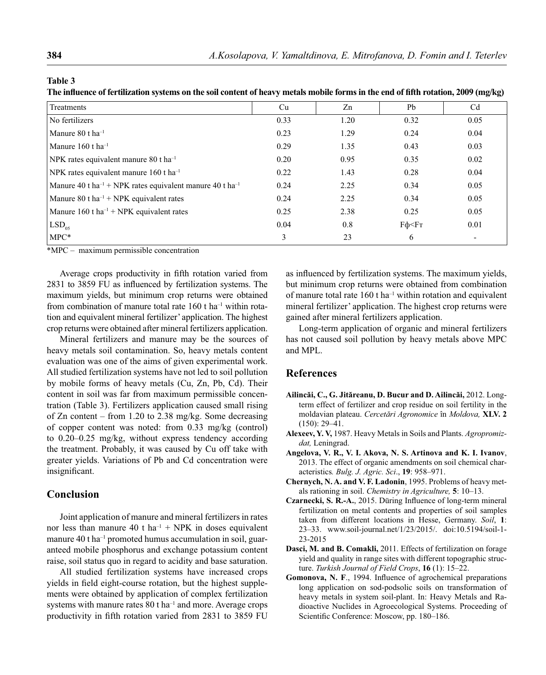**Table 3**

The influence of fertilization systems on the soil content of heavy metals mobile forms in the end of fifth rotation, 2009 (mg/kg)

| Treatments                                                                       | Cu   | Zn   | Pb           | C <sub>d</sub>           |
|----------------------------------------------------------------------------------|------|------|--------------|--------------------------|
| No fertilizers                                                                   | 0.33 | 1.20 | 0.32         | 0.05                     |
| Manure $80$ t ha <sup>-1</sup>                                                   | 0.23 | 1.29 | 0.24         | 0.04                     |
| Manure 160 t $ha^{-1}$                                                           | 0.29 | 1.35 | 0.43         | 0.03                     |
| NPK rates equivalent manure 80 t ha <sup>-1</sup>                                | 0.20 | 0.95 | 0.35         | 0.02                     |
| NPK rates equivalent manure $160$ t ha <sup>-1</sup>                             | 0.22 | 1.43 | 0.28         | 0.04                     |
| Manure 40 t ha <sup>-1</sup> + NPK rates equivalent manure 40 t ha <sup>-1</sup> | 0.24 | 2.25 | 0.34         | 0.05                     |
| Manure 80 t ha <sup><math>-1</math></sup> + NPK equivalent rates                 | 0.24 | 2.25 | 0.34         | 0.05                     |
| Manure 160 t ha <sup><math>-1</math></sup> + NPK equivalent rates                | 0.25 | 2.38 | 0.25         | 0.05                     |
| $LSD_{05}$                                                                       | 0.04 | 0.8  | $F\phi < FT$ | 0.01                     |
| $MPC*$                                                                           | 3    | 23   | 6            | $\overline{\phantom{0}}$ |

\*MPC – maximum permissible concentration

Average crops productivity in fifth rotation varied from 2831 to 3859 FU as influenced by fertilization systems. The maximum yields, but minimum crop returns were obtained from combination of manure total rate  $160$  t ha<sup>-1</sup> within rotation and equivalent mineral fertilizer' application. The highest crop returns were obtained after mineral fertilizers application.

Mineral fertilizers and manure may be the sources of heavy metals soil contamination. So, heavy metals content evaluation was one of the aims of given experimental work. All studied fertilization systems have not led to soil pollution by mobile forms of heavy metals (Cu, Zn, Pb, Cd). Their content in soil was far from maximum permissible concentration (Table 3). Fertilizers application caused small rising of Zn content – from 1.20 to 2.38 mg/kg. Some decreasing of copper content was noted: from 0.33 mg/kg (control) to 0.20–0.25 mg/kg, without express tendency according the treatment. Probably, it was caused by Cu off take with greater yields. Variations of Pb and Cd concentration were insignificant.

#### **Conclusion**

Joint application of manure and mineral fertilizers in rates nor less than manure 40 t ha<sup>-1</sup> + NPK in doses equivalent manure 40 t ha<sup>-1</sup> promoted humus accumulation in soil, guaranteed mobile phosphorus and exchange potassium content raise, soil status quo in regard to acidity and base saturation.

All studied fertilization systems have increased crops yields in field eight-course rotation, but the highest supplements were obtained by application of complex fertilization systems with manure rates  $80$  t ha<sup>-1</sup> and more. Average crops productivity in fifth rotation varied from 2831 to 3859 FU

as influenced by fertilization systems. The maximum yields, but minimum crop returns were obtained from combination of manure total rate  $160$  t ha<sup>-1</sup> within rotation and equivalent mineral fertilizer' application. The highest crop returns were gained after mineral fertilizers application.

Long-term application of organic and mineral fertilizers has not caused soil pollution by heavy metals above MPC and MPL.

#### **References**

- **Ailincăi, C., G. Jităreanu, D. Bucur and D. Ailincăi,** 2012. Longterm effect of fertilizer and crop residue on soil fertility in the moldavian plateau. *Cercetări Agronomice* în *Moldova,* **XLV. 2** (150): 29–41.
- **Alexeev, Y. V,** 1987. Heavy Metals in Soils and Plants. *Agropromizdat,* Leningrad.
- **Angelova, V. R., V. I. Akova, N. S. Artinova and K. I. Ivanov**, 2013. The effect of organic amendments on soil chemical characteristics*. Bulg. J. Agric. Sci*., **19**: 958–971.
- **Chernych, N. A. and V. F. Ladonin**, 1995. Problems of heavy metals rationing in soil. *Chemistry in Agriculture,* **5**: 10–13.
- **Czarnecki, S. R.-A.**, 2015. Düring Influence of long-term mineral fertilization on metal contents and properties of soil samples taken from different locations in Hesse, Germany. *Soil*, **1**: 23–33. www.soil-journal.net/1/23/2015/. doi:10.5194/soil-1- 23-2015
- **Dasci, M. and B. Comakli,** 2011. Effects of fertilization on forage yield and quality in range sites with different topographic structure. *Turkish Journal of Field Crops*, **16** (1): 15–22.
- Gomonova, N. F., 1994. Influence of agrochemical preparations long application on sod-podsolic soils on transformation of heavy metals in system soil-plant. In: Heavy Metals and Radioactive Nuclides in Agroecological Systems. Proceeding of Scientific Conference: Moscow, pp. 180–186.